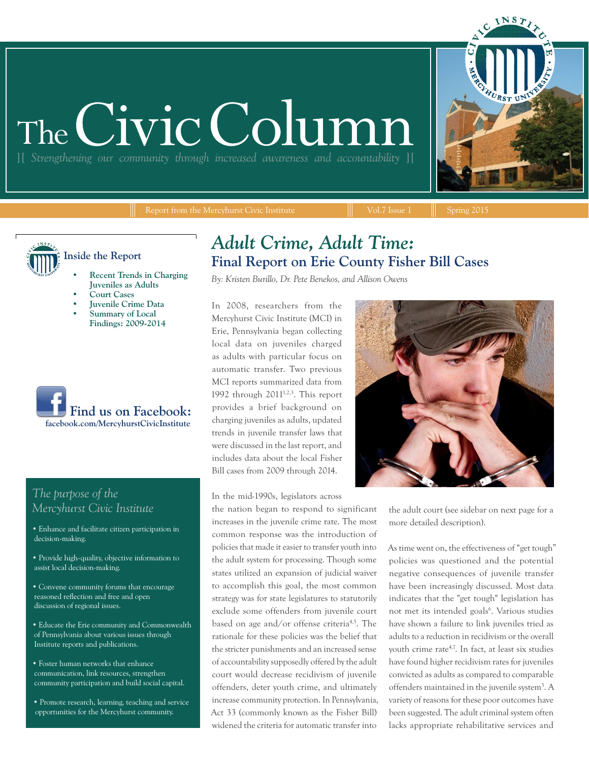# The Civic Colum

][ *Strengthening our community through increased awareness and accountability* ][

Report from the Mercyhurst Civic Institute  $\|\cdot\|$  Vol.7 Issue 1  $\|\cdot\|$  Spring 2015

INST



- **• Recent Trends in Charging Juveniles as Adults**
- **• Court Cases**
- **• Juvenile Crime Data**
- **• Summary of Local Findings: 2009-2014**



#### *The purpose of the Mercyhurst Civic Institute*

- Enhance and facilitate citizen participation in decision-making.
- Provide high-quality, objective information to assist local decision-making.
- Convene community forums that encourage reasoned reflection and free and open discussion of regional issues.
- Educate the Erie community and Commonwealth of Pennsylvania about various issues through Institute reports and publications.
- Foster human networks that enhance communication, link resources, strengthen community participation and build social capital.
- Promote research, learning, teaching and service opportunities for the Mercyhurst community.

#### *Adult Crime, Adult Time:*  **Final Report on Erie County Fisher Bill Cases**

*By: Kristen Burillo, Dr. Pete Benekos, and Allison Owens*

In 2008, researchers from the Mercyhurst Civic Institute (MCI) in Erie, Pennsylvania began collecting local data on juveniles charged as adults with particular focus on automatic transfer. Two previous MCI reports summarized data from 1992 through 20111,2,3. This report provides a brief background on charging juveniles as adults, updated trends in juvenile transfer laws that were discussed in the last report, and includes data about the local Fisher Bill cases from 2009 through 2014.

In the mid-1990s, legislators across

the nation began to respond to significant increases in the juvenile crime rate. The most common response was the introduction of policies that made it easier to transfer youth into the adult system for processing. Though some states utilized an expansion of judicial waiver to accomplish this goal, the most common strategy was for state legislatures to statutorily exclude some offenders from juvenile court based on age and/or offense criteria<sup>4,5</sup>. The rationale for these policies was the belief that the stricter punishments and an increased sense of accountability supposedly offered by the adult court would decrease recidivism of juvenile offenders, deter youth crime, and ultimately increase community protection. In Pennsylvania, Act 33 (commonly known as the Fisher Bill) widened the criteria for automatic transfer into



the adult court (see sidebar on next page for a more detailed description).

As time went on, the effectiveness of "get tough" policies was questioned and the potential negative consequences of juvenile transfer have been increasingly discussed. Most data indicates that the "get tough" legislation has not met its intended goals<sup>6</sup>. Various studies have shown a failure to link juveniles tried as adults to a reduction in recidivism or the overall youth crime rate<sup>4,7</sup>. In fact, at least six studies have found higher recidivism rates for juveniles convicted as adults as compared to comparable offenders maintained in the juvenile system<sup>5</sup>. A variety of reasons for these poor outcomes have been suggested. The adult criminal system often lacks appropriate rehabilitative services and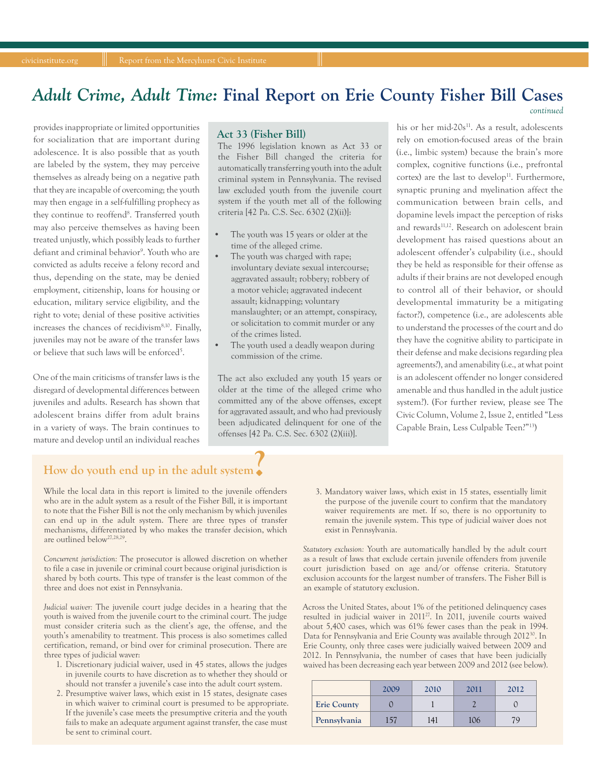#### *Adult Crime, Adult Time:* **Final Report on Erie County Fisher Bill Cases**

provides inappropriate or limited opportunities for socialization that are important during adolescence. It is also possible that as youth are labeled by the system, they may perceive themselves as already being on a negative path that they are incapable of overcoming; the youth may then engage in a self-fulfilling prophecy as they continue to reoffend<sup>8</sup>. Transferred youth may also perceive themselves as having been treated unjustly, which possibly leads to further defiant and criminal behavior<sup>9</sup>. Youth who are convicted as adults receive a felony record and thus, depending on the state, may be denied employment, citizenship, loans for housing or education, military service eligibility, and the right to vote; denial of these positive activities increases the chances of recidivism8,10. Finally, juveniles may not be aware of the transfer laws or believe that such laws will be enforced<sup>5</sup>.

One of the main criticisms of transfer laws is the disregard of developmental differences between juveniles and adults. Research has shown that adolescent brains differ from adult brains in a variety of ways. The brain continues to mature and develop until an individual reaches

#### **Act 33 (Fisher Bill)**

The 1996 legislation known as Act 33 or the Fisher Bill changed the criteria for automatically transferring youth into the adult criminal system in Pennsylvania. The revised law excluded youth from the juvenile court system if the youth met all of the following criteria [42 Pa. C.S. Sec. 6302 (2)(ii)]:

- The youth was 15 years or older at the time of the alleged crime.
- The youth was charged with rape; involuntary deviate sexual intercourse; aggravated assault; robbery; robbery of a motor vehicle; aggravated indecent assault; kidnapping; voluntary manslaughter; or an attempt, conspiracy, or solicitation to commit murder or any of the crimes listed.
- The youth used a deadly weapon during commission of the crime.

The act also excluded any youth 15 years or older at the time of the alleged crime who committed any of the above offenses, except for aggravated assault, and who had previously been adjudicated delinquent for one of the offenses [42 Pa. C.S. Sec. 6302 (2)(iii)].

his or her mid- $20s^{11}$ . As a result, adolescents rely on emotion-focused areas of the brain (i.e., limbic system) because the brain's more complex, cognitive functions (i.e., prefrontal cortex) are the last to develop<sup>11</sup>. Furthermore, synaptic pruning and myelination affect the communication between brain cells, and dopamine levels impact the perception of risks and rewards<sup>11,12</sup>. Research on adolescent brain development has raised questions about an adolescent offender's culpability (i.e., should they be held as responsible for their offense as adults if their brains are not developed enough to control all of their behavior, or should developmental immaturity be a mitigating factor?), competence (i.e., are adolescents able to understand the processes of the court and do they have the cognitive ability to participate in their defense and make decisions regarding plea agreements?), and amenability (i.e., at what point is an adolescent offender no longer considered amenable and thus handled in the adult justice system?). (For further review, please see The Civic Column, Volume 2, Issue 2, entitled "Less Capable Brain, Less Culpable Teen?"13)

*continued*

# **How do youth end up in the adult system ?**

While the local data in this report is limited to the juvenile offenders who are in the adult system as a result of the Fisher Bill, it is important to note that the Fisher Bill is not the only mechanism by which juveniles can end up in the adult system. There are three types of transfer mechanisms, differentiated by who makes the transfer decision, which are outlined below<sup>27,28,29</sup>.

*Concurrent jurisdiction:* The prosecutor is allowed discretion on whether to file a case in juvenile or criminal court because original jurisdiction is shared by both courts. This type of transfer is the least common of the three and does not exist in Pennsylvania.

*Judicial waiver:* The juvenile court judge decides in a hearing that the youth is waived from the juvenile court to the criminal court. The judge must consider criteria such as the client's age, the offense, and the youth's amenability to treatment. This process is also sometimes called certification, remand, or bind over for criminal prosecution. There are three types of judicial waver:

- 1. Discretionary judicial waiver, used in 45 states, allows the judges in juvenile courts to have discretion as to whether they should or should not transfer a juvenile's case into the adult court system.
- 2. Presumptive waiver laws, which exist in 15 states, designate cases in which waiver to criminal court is presumed to be appropriate. If the juvenile's case meets the presumptive criteria and the youth fails to make an adequate argument against transfer, the case must be sent to criminal court.

3. Mandatory waiver laws, which exist in 15 states, essentially limit the purpose of the juvenile court to confirm that the mandatory waiver requirements are met. If so, there is no opportunity to remain the juvenile system. This type of judicial waiver does not exist in Pennsylvania.

*Statutory exclusion:* Youth are automatically handled by the adult court as a result of laws that exclude certain juvenile offenders from juvenile court jurisdiction based on age and/or offense criteria. Statutory exclusion accounts for the largest number of transfers. The Fisher Bill is an example of statutory exclusion.

Across the United States, about 1% of the petitioned delinquency cases resulted in judicial waiver in 201127. In 2011, juvenile courts waived about 5,400 cases, which was 61% fewer cases than the peak in 1994. Data for Pennsylvania and Erie County was available through 201230. In Erie County, only three cases were judicially waived between 2009 and 2012. In Pennsylvania, the number of cases that have been judicially waived has been decreasing each year between 2009 and 2012 (see below).

|                    | 2009 | 2010 | 2011 | 2012 |
|--------------------|------|------|------|------|
| <b>Erie County</b> |      |      |      |      |
| Pennsylvania       |      | 141  | 106  | 70   |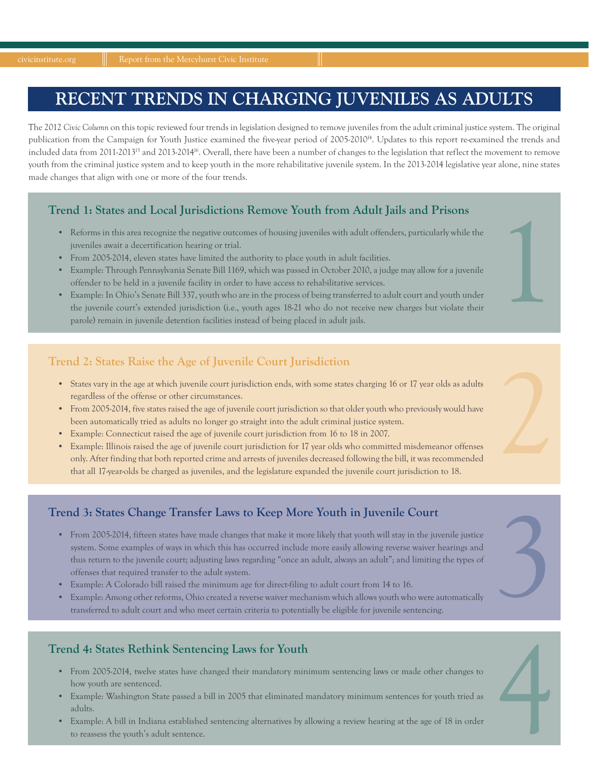### **RECENT TRENDS IN CHARGING JUVENILES AS ADULTS**

The 2012 *Civic Column* on this topic reviewed four trends in legislation designed to remove juveniles from the adult criminal justice system. The original publication from the Campaign for Youth Justice examined the five-year period of 2005-201014. Updates to this report re-examined the trends and included data from 2011-2013<sup>15</sup> and 2013-2014<sup>16</sup>. Overall, there have been a number of changes to the legislation that reflect the movement to remove youth from the criminal justice system and to keep youth in the more rehabilitative juvenile system. In the 2013-2014 legislative year alone, nine states made changes that align with one or more of the four trends.

#### **Trend 1: States and Local Jurisdictions Remove Youth from Adult Jails and Prisons**

- juveniles await a decertification hearing or trial.
- From 2005-2014, eleven states have limited the authority to place youth in adult facilities.
- Example: Through Pennsylvania Senate Bill 1169, which was passed in October 2010, a judge may allow for a juvenile offender to be held in a juvenile facility in order to have access to rehabilitative services.
- 1 States and Local Jurisdictions Kemove Youth from Adult Jails and Prisons<br>
 Reforms in this area recognize the negative outcomes of housing juveniles with adult offenders, particularly while the<br>
 Jiveniles await a de • Example: In Ohio's Senate Bill 337, youth who are in the process of being transferred to adult court and youth under the juvenile court's extended jurisdiction (i.e., youth ages 18-21 who do not receive new charges but violate their parole) remain in juvenile detention facilities instead of being placed in adult jails.

#### **Trend 2: States Raise the Age of Juvenile Court Jurisdiction**

- regardless of the offense or other circumstances.
- From 2005-2014, five states raised the age of juvenile court jurisdiction so that older youth who previously would have been automatically tried as adults no longer go straight into the adult criminal justice system.
- Example: Connecticut raised the age of juvenile court jurisdiction from 16 to 18 in 2007.
- States vary in the age at which juvenile court jurisdiction ends, with some states charging 16 or 17 year olds as adults regardless of the offense or other circumstances.<br>• From 2005-2014, five states raised the age of j • Example: Illinois raised the age of juvenile court jurisdiction for 17 year olds who committed misdemeanor offenses only. After finding that both reported crime and arrests of juveniles decreased following the bill, it was recommended that all 17-year-olds be charged as juveniles, and the legislature expanded the juvenile court jurisdiction to 18.

- Frend 3: States Change Transfer Laws to Keep More Youth in Juvenile Court<br>
 From 2005-2014, fifteen states have made changes that make it more likely that youth will stay in the juvenile justice<br>
system. Some examples of system. Some examples of ways in which this has occurred include more easily allowing reverse waiver hearings and thus return to the juvenile court; adjusting laws regarding "once an adult, always an adult"; and limiting the types of offenses that required transfer to the adult system.
	- Example: A Colorado bill raised the minimum age for direct-filing to adult court from 14 to 16.
	- Example: Among other reforms, Ohio created a reverse waiver mechanism which allows youth who were automatically transferred to adult court and who meet certain criteria to potentially be eligible for juvenile sentencing.

- how youth are sentenced.
- Example: Washington State passed a bill in 2005 that eliminated mandatory minimum sentences for youth tried as adults.
- **Trend 4: States Rethink Sentencing Laws for Youth**<br>
 From 2005-2014, twelve states have changed their mandatory minimum sentencing laws or made other changes to<br>
<sup>•</sup> Example: Washington State passed a bill in 2005 that e • Example: A bill in Indiana established sentencing alternatives by allowing a review hearing at the age of 18 in order to reassess the youth's adult sentence.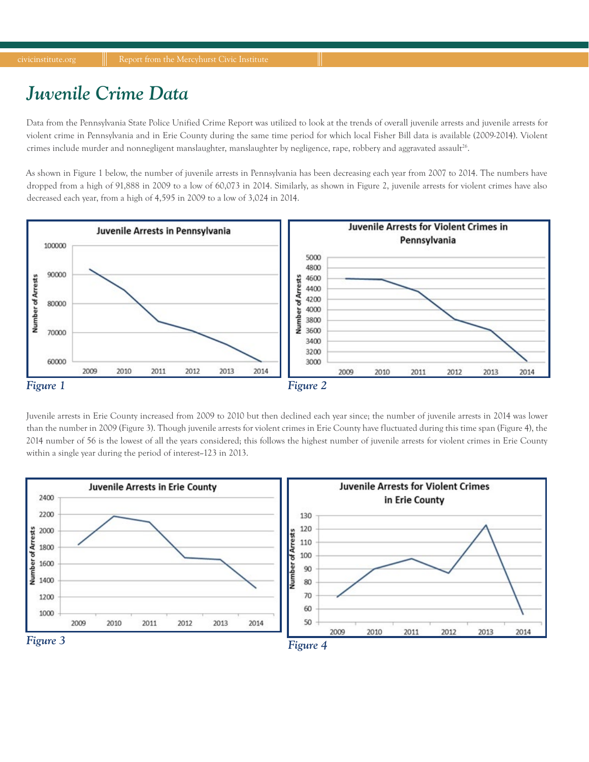### *Juvenile Crime Data*

Data from the Pennsylvania State Police Unified Crime Report was utilized to look at the trends of overall juvenile arrests and juvenile arrests for violent crime in Pennsylvania and in Erie County during the same time period for which local Fisher Bill data is available (2009-2014). Violent crimes include murder and nonnegligent manslaughter, manslaughter by negligence, rape, robbery and aggravated assault<sup>26</sup>.

As shown in Figure 1 below, the number of juvenile arrests in Pennsylvania has been decreasing each year from 2007 to 2014. The numbers have dropped from a high of 91,888 in 2009 to a low of 60,073 in 2014. Similarly, as shown in Figure 2, juvenile arrests for violent crimes have also decreased each year, from a high of 4,595 in 2009 to a low of 3,024 in 2014.



Juvenile arrests in Erie County increased from 2009 to 2010 but then declined each year since; the number of juvenile arrests in 2014 was lower than the number in 2009 (Figure 3). Though juvenile arrests for violent crimes in Erie County have fluctuated during this time span (Figure 4), the 2014 number of 56 is the lowest of all the years considered; this follows the highest number of juvenile arrests for violent crimes in Erie County within a single year during the period of interest-123 in 2013.

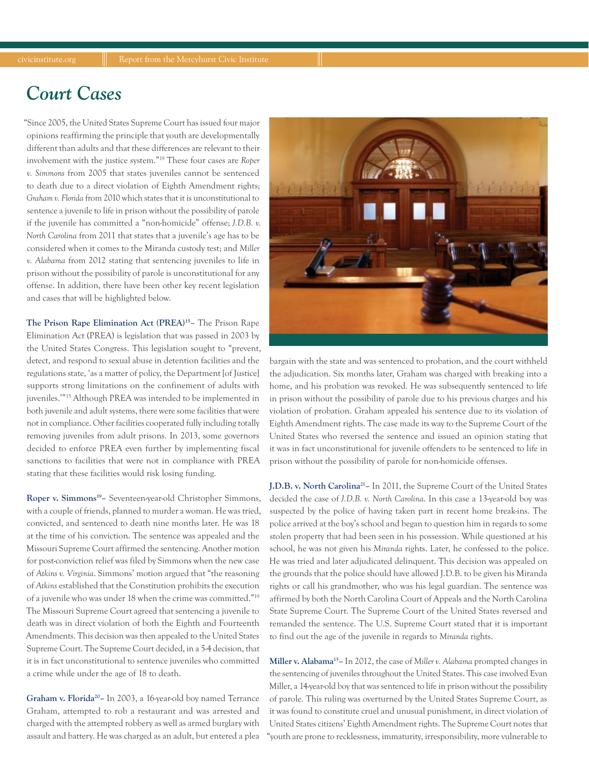### *Court Cases*

"Since 2005, the United States Supreme Court has issued four major opinions reaffirming the principle that youth are developmentally different than adults and that these differences are relevant to their involvement with the justice system."19 These four cases are *Roper v. Simmons* from 2005 that states juveniles cannot be sentenced to death due to a direct violation of Eighth Amendment rights; *Graham v. Florida* from 2010 which states that it is unconstitutional to sentence a juvenile to life in prison without the possibility of parole if the juvenile has committed a "non-homicide" offense; *J.D.B. v. North Carolina* from 2011 that states that a juvenile's age has to be considered when it comes to the Miranda custody test; and *Miller v. Alabama* from 2012 stating that sentencing juveniles to life in prison without the possibility of parole is unconstitutional for any offense. In addition, there have been other key recent legislation and cases that will be highlighted below.

**The Prison Rape Elimination Act (PREA)15–** The Prison Rape Elimination Act (PREA) is legislation that was passed in 2003 by the United States Congress. This legislation sought to "prevent, detect, and respond to sexual abuse in detention facilities and the regulations state, 'as a matter of policy, the Department [of Justice] supports strong limitations on the confinement of adults with juveniles.'"15 Although PREA was intended to be implemented in both juvenile and adult systems, there were some facilities that were not in compliance. Other facilities cooperated fully including totally removing juveniles from adult prisons. In 2013, some governors decided to enforce PREA even further by implementing fiscal sanctions to facilities that were not in compliance with PREA stating that these facilities would risk losing funding.

**Roper v. Simmons19–** Seventeen-year-old Christopher Simmons, with a couple of friends, planned to murder a woman. He was tried, convicted, and sentenced to death nine months later. He was 18 at the time of his conviction. The sentence was appealed and the Missouri Supreme Court affirmed the sentencing. Another motion for post-conviction relief was filed by Simmons when the new case of *Atkins v. Virginia*. Simmons' motion argued that "the reasoning of *Atkins* established that the Constitution prohibits the execution of a juvenile who was under 18 when the crime was committed."19 The Missouri Supreme Court agreed that sentencing a juvenile to death was in direct violation of both the Eighth and Fourteenth Amendments. This decision was then appealed to the United States Supreme Court. The Supreme Court decided, in a 5-4 decision, that it is in fact unconstitutional to sentence juveniles who committed a crime while under the age of 18 to death.

**Graham v. Florida20–** In 2003, a 16-year-old boy named Terrance Graham, attempted to rob a restaurant and was arrested and charged with the attempted robbery as well as armed burglary with assault and battery. He was charged as an adult, but entered a plea



bargain with the state and was sentenced to probation, and the court withheld the adjudication. Six months later, Graham was charged with breaking into a home, and his probation was revoked. He was subsequently sentenced to life in prison without the possibility of parole due to his previous charges and his violation of probation. Graham appealed his sentence due to its violation of Eighth Amendment rights. The case made its way to the Supreme Court of the United States who reversed the sentence and issued an opinion stating that it was in fact unconstitutional for juvenile offenders to be sentenced to life in prison without the possibility of parole for non-homicide offenses.

**J.D.B. v. North Carolina21–** In 2011, the Supreme Court of the United States decided the case of *J.D.B. v. North Carolina*. In this case a 13-year-old boy was suspected by the police of having taken part in recent home break-ins. The police arrived at the boy's school and began to question him in regards to some stolen property that had been seen in his possession. While questioned at his school, he was not given his *Miranda* rights. Later, he confessed to the police. He was tried and later adjudicated delinquent. This decision was appealed on the grounds that the police should have allowed J.D.B. to be given his Miranda rights or call his grandmother, who was his legal guardian. The sentence was affirmed by both the North Carolina Court of Appeals and the North Carolina State Supreme Court. The Supreme Court of the United States reversed and remanded the sentence. The U.S. Supreme Court stated that it is important to find out the age of the juvenile in regards to *Miranda* rights.

**Miller v. Alabama15–** In 2012, the case of *Miller v. Alabama* prompted changes in the sentencing of juveniles throughout the United States. This case involved Evan Miller, a 14-year-old boy that was sentenced to life in prison without the possibility of parole. This ruling was overturned by the United States Supreme Court, as it was found to constitute cruel and unusual punishment, in direct violation of United States citizens' Eighth Amendment rights. The Supreme Court notes that "youth are prone to recklessness, immaturity, irresponsibility, more vulnerable to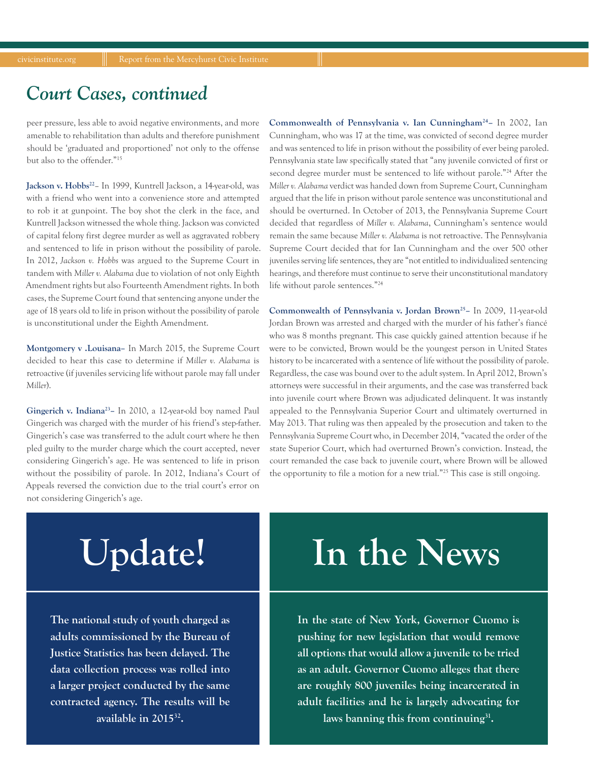### *Court Cases, continued*

peer pressure, less able to avoid negative environments, and more amenable to rehabilitation than adults and therefore punishment should be 'graduated and proportioned' not only to the offense but also to the offender."15

Jackson v. Hobbs<sup>22</sup>- In 1999, Kuntrell Jackson, a 14-year-old, was with a friend who went into a convenience store and attempted to rob it at gunpoint. The boy shot the clerk in the face, and Kuntrell Jackson witnessed the whole thing. Jackson was convicted of capital felony first degree murder as well as aggravated robbery and sentenced to life in prison without the possibility of parole. In 2012, *Jackson v. Hobbs* was argued to the Supreme Court in tandem with *Miller v. Alabama* due to violation of not only Eighth Amendment rights but also Fourteenth Amendment rights. In both cases, the Supreme Court found that sentencing anyone under the age of 18 years old to life in prison without the possibility of parole is unconstitutional under the Eighth Amendment.

**Montgomery v .Louisana–** In March 2015, the Supreme Court decided to hear this case to determine if *Miller v. Alabama* is retroactive (if juveniles servicing life without parole may fall under *Miller*).

**Gingerich v. Indiana23–** In 2010, a 12-year-old boy named Paul Gingerich was charged with the murder of his friend's step-father. Gingerich's case was transferred to the adult court where he then pled guilty to the murder charge which the court accepted, never considering Gingerich's age. He was sentenced to life in prison without the possibility of parole. In 2012, Indiana's Court of Appeals reversed the conviction due to the trial court's error on not considering Gingerich's age.

**Commonwealth of Pennsylvania v. Ian Cunningham24–** In 2002, Ian Cunningham, who was 17 at the time, was convicted of second degree murder and was sentenced to life in prison without the possibility of ever being paroled. Pennsylvania state law specifically stated that "any juvenile convicted of first or second degree murder must be sentenced to life without parole."24 After the *Miller v. Alabama* verdict was handed down from Supreme Court, Cunningham argued that the life in prison without parole sentence was unconstitutional and should be overturned. In October of 2013, the Pennsylvania Supreme Court decided that regardless of *Miller v. Alabama*, Cunningham's sentence would remain the same because *Miller v. Alabama* is not retroactive. The Pennsylvania Supreme Court decided that for Ian Cunningham and the over 500 other juveniles serving life sentences, they are "not entitled to individualized sentencing hearings, and therefore must continue to serve their unconstitutional mandatory life without parole sentences."24

**Commonwealth of Pennsylvania v. Jordan Brown25–** In 2009, 11-year-old Jordan Brown was arrested and charged with the murder of his father's fiancé who was 8 months pregnant. This case quickly gained attention because if he were to be convicted, Brown would be the youngest person in United States history to be incarcerated with a sentence of life without the possibility of parole. Regardless, the case was bound over to the adult system. In April 2012, Brown's attorneys were successful in their arguments, and the case was transferred back into juvenile court where Brown was adjudicated delinquent. It was instantly appealed to the Pennsylvania Superior Court and ultimately overturned in May 2013. That ruling was then appealed by the prosecution and taken to the Pennsylvania Supreme Court who, in December 2014, "vacated the order of the state Superior Court, which had overturned Brown's conviction. Instead, the court remanded the case back to juvenile court, where Brown will be allowed the opportunity to file a motion for a new trial."25 This case is still ongoing.

# **Update!**

**The national study of youth charged as adults commissioned by the Bureau of Justice Statistics has been delayed. The data collection process was rolled into a larger project conducted by the same contracted agency. The results will be available in 201532.** 

# **In the News**

**In the state of New York, Governor Cuomo is pushing for new legislation that would remove all options that would allow a juvenile to be tried as an adult. Governor Cuomo alleges that there are roughly 800 juveniles being incarcerated in adult facilities and he is largely advocating for laws banning this from continuing31.**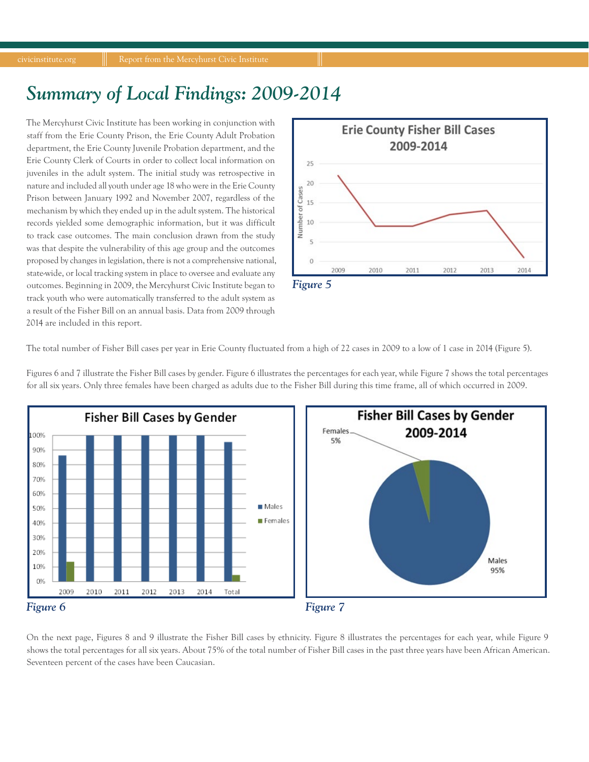## *Summary of Local Findings: 2009-2014*

The Mercyhurst Civic Institute has been working in conjunction with staff from the Erie County Prison, the Erie County Adult Probation department, the Erie County Juvenile Probation department, and the Erie County Clerk of Courts in order to collect local information on juveniles in the adult system. The initial study was retrospective in nature and included all youth under age 18 who were in the Erie County Prison between January 1992 and November 2007, regardless of the mechanism by which they ended up in the adult system. The historical records yielded some demographic information, but it was difficult to track case outcomes. The main conclusion drawn from the study was that despite the vulnerability of this age group and the outcomes proposed by changes in legislation, there is not a comprehensive national, state-wide, or local tracking system in place to oversee and evaluate any outcomes. Beginning in 2009, the Mercyhurst Civic Institute began to track youth who were automatically transferred to the adult system as a result of the Fisher Bill on an annual basis. Data from 2009 through 2014 are included in this report.



The total number of Fisher Bill cases per year in Erie County fluctuated from a high of 22 cases in 2009 to a low of 1 case in 2014 (Figure 5).

**Fisher Bill Cases by Gender Fisher Bill Cases by Gender** Females. 2009-2014 100% 5% 90% 80% 70% 60% Males 50% Females 40% 30% 20% Males 10% 95% 0% 2009 2010 2011 2012 2014 Total 2013 *Figure 6 Figure 7*

Figures 6 and 7 illustrate the Fisher Bill cases by gender. Figure 6 illustrates the percentages for each year, while Figure 7 shows the total percentages for all six years. Only three females have been charged as adults due to the Fisher Bill during this time frame, all of which occurred in 2009.

On the next page, Figures 8 and 9 illustrate the Fisher Bill cases by ethnicity. Figure 8 illustrates the percentages for each year, while Figure 9 shows the total percentages for all six years. About 75% of the total number of Fisher Bill cases in the past three years have been African American. Seventeen percent of the cases have been Caucasian.

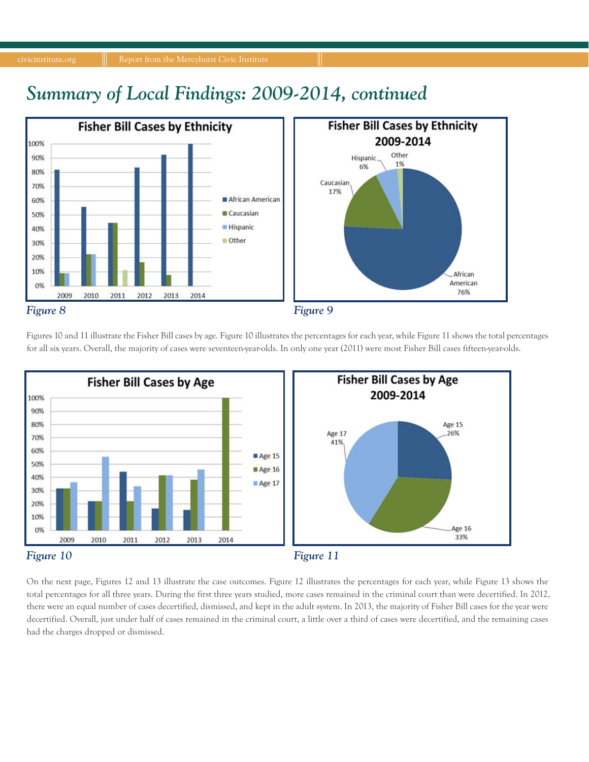

Other

*Figure 8 Figure 9*

2014

2013

30% 20% 10%

0%

2009

2010

2011

2012

Figures 10 and 11 illustrate the Fisher Bill cases by age. Figure 10 illustrates the percentages for each year, while Figure 11 shows the total percentages for all six years. Overall, the majority of cases were seventeen-year-olds. In only one year (2011) were most Fisher Bill cases fifteen-year-olds.

African

American 76%



On the next page, Figures 12 and 13 illustrate the case outcomes. Figure 12 illustrates the percentages for each year, while Figure 13 shows the total percentages for all three years. During the first three years studied, more cases remained in the criminal court than were decertified. In 2012, there were an equal number of cases decertified, dismissed, and kept in the adult system. In 2013, the majority of Fisher Bill cases for the year were decertified. Overall, just under half of cases remained in the criminal court, a little over a third of cases were decertified, and the remaining cases had the charges dropped or dismissed.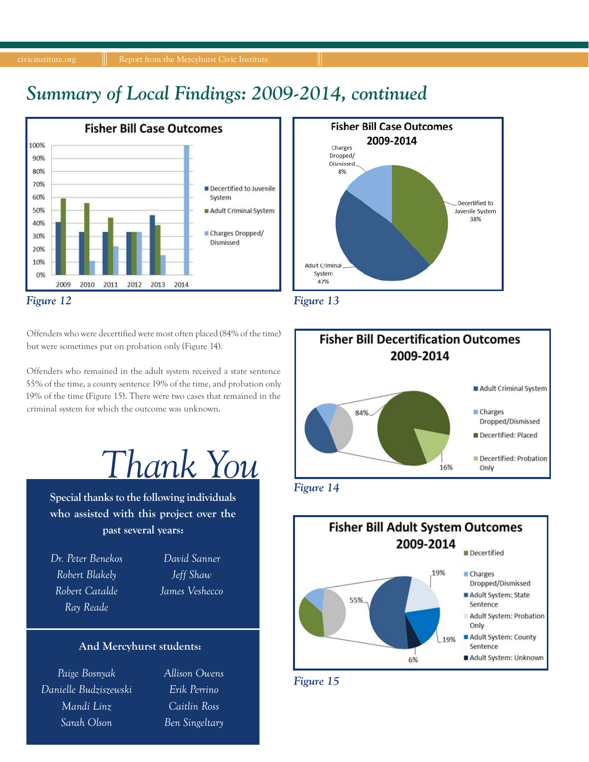## *Summary of Local Findings: 2009-2014, continued*



Offenders who were decertified were most often placed (84% of the time) but were sometimes put on probation only (Figure 14).

Offenders who remained in the adult system received a state sentence 55% of the time, a county sentence 19% of the time, and probation only 19% of the time (Figure 15). There were two cases that remained in the criminal system for which the outcome was unknown.

*Thank You*

**Special thanks to the following individuals who assisted with this project over the past several years:**

*Dr. Peter Benekos Robert Blakely Robert Catalde Ray Reade*

*David Sanner Jeff Shaw James Veshecco*

#### **And Mercyhurst students:**

*Paige Bosnyak Danielle Budziszewski Mandi Linz Sarah Olson*

*Allison Owens Erik Perrino Caitlin Ross Ben Singeltary*







*Figure 14*